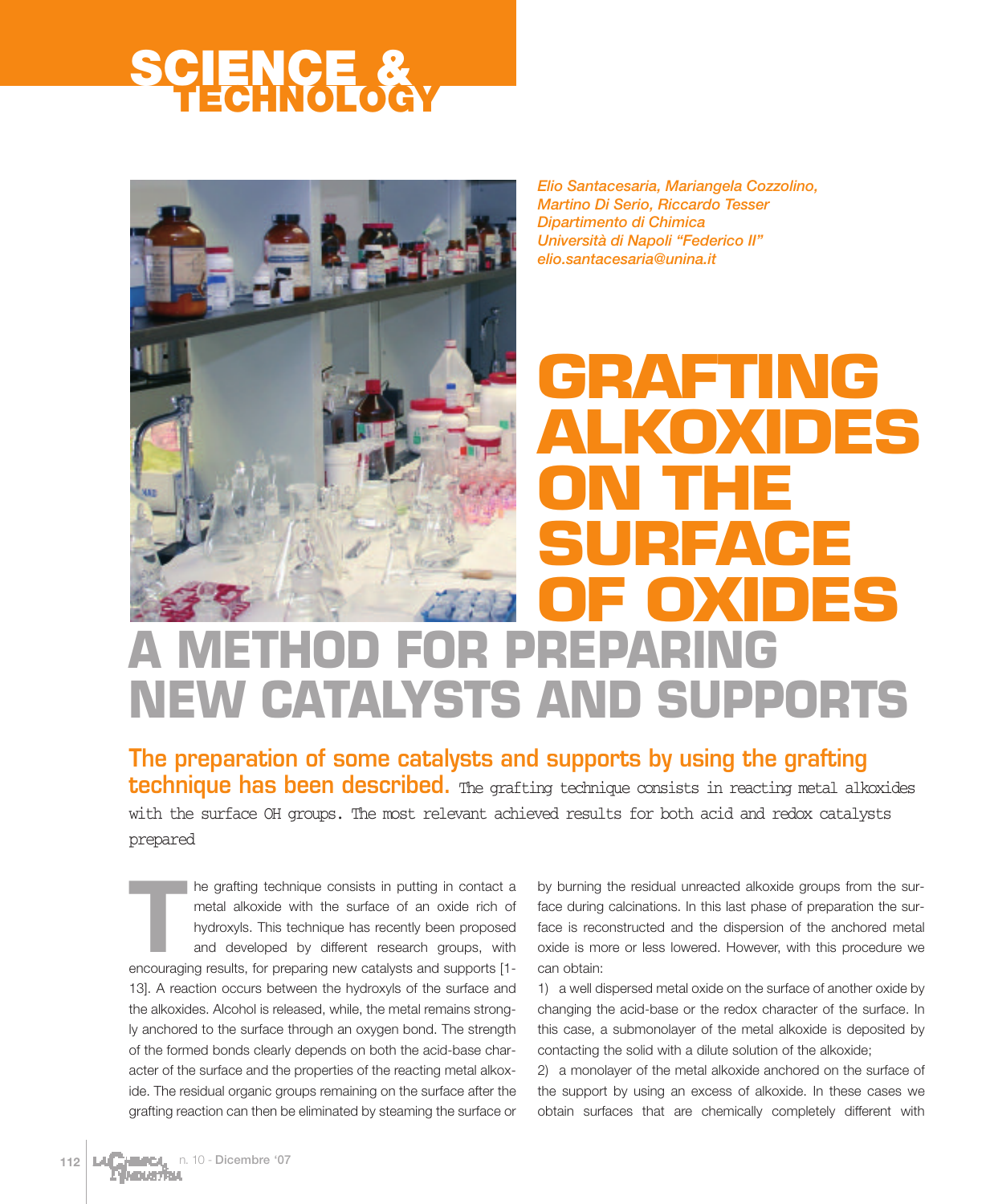

*Elio Santacesaria, Mariangela Cozzolino, Martino Di Serio, Riccardo Tesser Dipartimento di Chimica Università di Napoli "Federico II" elio.santacesaria@unina.it*

# **A METHOD FOR PREPARING NEW CATALYSTS AND SUPPORTS GRAFTING ALKOXIDES ON THE SURFACE OF OXIDES**

**The preparation of some catalysts and supports by using the grafting technique has been described.** The grafting technique consists in reacting metal alkoxides with the surface OH groups. The most relevant achieved results for both acid and redox catalysts prepared

The grafting technique consists in putting in contact a<br>metal alkoxide with the surface of an oxide rich of<br>hydroxyls. This technique has recently been proposed<br>and developed by different research groups, with<br>encouraging metal alkoxide with the surface of an oxide rich of hydroxyls. This technique has recently been proposed and developed by different research groups, with encouraging results, for preparing new catalysts and supports [1- 13]. A reaction occurs between the hydroxyls of the surface and the alkoxides. Alcohol is released, while, the metal remains strongly anchored to the surface through an oxygen bond. The strength of the formed bonds clearly depends on both the acid-base character of the surface and the properties of the reacting metal alkoxide. The residual organic groups remaining on the surface after the grafting reaction can then be eliminated by steaming the surface or

by burning the residual unreacted alkoxide groups from the surface during calcinations. In this last phase of preparation the surface is reconstructed and the dispersion of the anchored metal oxide is more or less lowered. However, with this procedure we can obtain:

1) a well dispersed metal oxide on the surface of another oxide by changing the acid-base or the redox character of the surface. In this case, a submonolayer of the metal alkoxide is deposited by contacting the solid with a dilute solution of the alkoxide;

2) a monolayer of the metal alkoxide anchored on the surface of the support by using an excess of alkoxide. In these cases we obtain surfaces that are chemically completely different with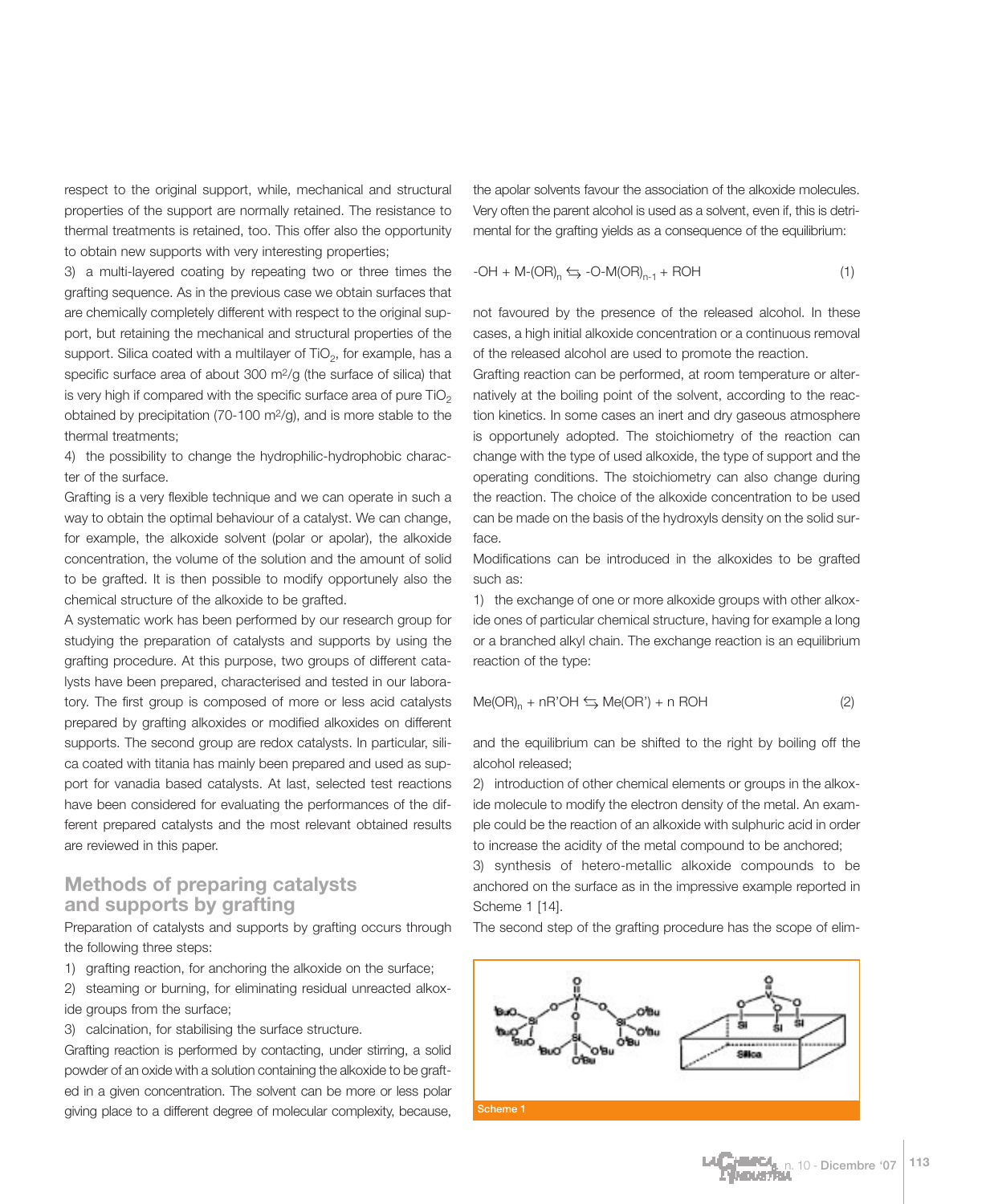respect to the original support, while, mechanical and structural properties of the support are normally retained. The resistance to thermal treatments is retained, too. This offer also the opportunity to obtain new supports with very interesting properties;

3) a multi-layered coating by repeating two or three times the grafting sequence. As in the previous case we obtain surfaces that are chemically completely different with respect to the original support, but retaining the mechanical and structural properties of the support. Silica coated with a multilayer of  $TiO<sub>2</sub>$ , for example, has a specific surface area of about 300 m2/g (the surface of silica) that is very high if compared with the specific surface area of pure  $TiO<sub>2</sub>$ obtained by precipitation (70-100 m2/g), and is more stable to the thermal treatments;

4) the possibility to change the hydrophilic-hydrophobic character of the surface.

Grafting is a very flexible technique and we can operate in such a way to obtain the optimal behaviour of a catalyst. We can change, for example, the alkoxide solvent (polar or apolar), the alkoxide concentration, the volume of the solution and the amount of solid to be grafted. It is then possible to modify opportunely also the chemical structure of the alkoxide to be grafted.

A systematic work has been performed by our research group for studying the preparation of catalysts and supports by using the grafting procedure. At this purpose, two groups of different catalysts have been prepared, characterised and tested in our laboratory. The first group is composed of more or less acid catalysts prepared by grafting alkoxides or modified alkoxides on different supports. The second group are redox catalysts. In particular, silica coated with titania has mainly been prepared and used as support for vanadia based catalysts. At last, selected test reactions have been considered for evaluating the performances of the different prepared catalysts and the most relevant obtained results are reviewed in this paper.

### **Methods of preparing catalysts and supports by grafting**

Preparation of catalysts and supports by grafting occurs through the following three steps:

1) grafting reaction, for anchoring the alkoxide on the surface;

2) steaming or burning, for eliminating residual unreacted alkoxide groups from the surface;

3) calcination, for stabilising the surface structure.

Grafting reaction is performed by contacting, under stirring, a solid powder of an oxide with a solution containing the alkoxide to be grafted in a given concentration. The solvent can be more or less polar giving place to a different degree of molecular complexity, because,

the apolar solvents favour the association of the alkoxide molecules. Very often the parent alcohol is used as a solvent, even if, this is detrimental for the grafting yields as a consequence of the equilibrium:

$$
-OH + M - (OR)_n \leq -O - M(OR)_{n-1} + ROH
$$
\n
$$
(1)
$$

not favoured by the presence of the released alcohol. In these cases, a high initial alkoxide concentration or a continuous removal of the released alcohol are used to promote the reaction.

Grafting reaction can be performed, at room temperature or alternatively at the boiling point of the solvent, according to the reaction kinetics. In some cases an inert and dry gaseous atmosphere is opportunely adopted. The stoichiometry of the reaction can change with the type of used alkoxide, the type of support and the operating conditions. The stoichiometry can also change during the reaction. The choice of the alkoxide concentration to be used can be made on the basis of the hydroxyls density on the solid surface.

Modifications can be introduced in the alkoxides to be grafted such as:

1) the exchange of one or more alkoxide groups with other alkoxide ones of particular chemical structure, having for example a long or a branched alkyl chain. The exchange reaction is an equilibrium reaction of the type:

$$
Me(OR)_n + nR'OH \leftrightarrows Me(OR') + n ROH
$$
 (2)

and the equilibrium can be shifted to the right by boiling off the alcohol released;

2) introduction of other chemical elements or groups in the alkoxide molecule to modify the electron density of the metal. An example could be the reaction of an alkoxide with sulphuric acid in order to increase the acidity of the metal compound to be anchored;

3) synthesis of hetero-metallic alkoxide compounds to be anchored on the surface as in the impressive example reported in Scheme 1 [14].

The second step of the grafting procedure has the scope of elim-

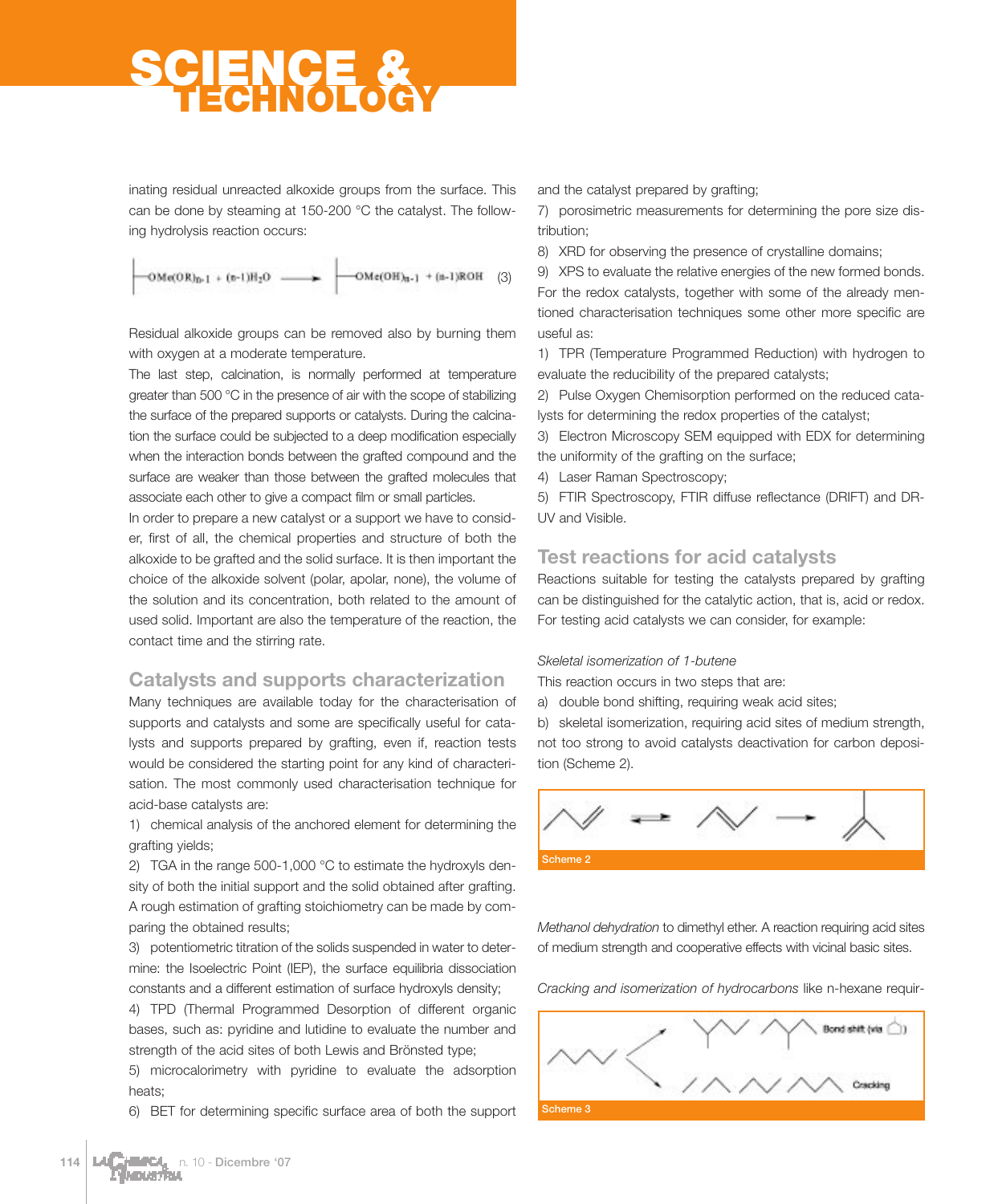inating residual unreacted alkoxide groups from the surface. This can be done by steaming at 150-200 °C the catalyst. The following hydrolysis reaction occurs:

 $OMe(OR)_{n-1} + (n-1)H_2O$  - $-OMe(OH)_{n-1}$  + (n-1)ROH (3)

Residual alkoxide groups can be removed also by burning them with oxygen at a moderate temperature.

The last step, calcination, is normally performed at temperature greater than 500 °C in the presence of air with the scope of stabilizing the surface of the prepared supports or catalysts. During the calcination the surface could be subjected to a deep modification especially when the interaction bonds between the grafted compound and the surface are weaker than those between the grafted molecules that associate each other to give a compact film or small particles.

In order to prepare a new catalyst or a support we have to consider, first of all, the chemical properties and structure of both the alkoxide to be grafted and the solid surface. It is then important the choice of the alkoxide solvent (polar, apolar, none), the volume of the solution and its concentration, both related to the amount of used solid. Important are also the temperature of the reaction, the contact time and the stirring rate.

### **Catalysts and supports characterization**

Many techniques are available today for the characterisation of supports and catalysts and some are specifically useful for catalysts and supports prepared by grafting, even if, reaction tests would be considered the starting point for any kind of characterisation. The most commonly used characterisation technique for acid-base catalysts are:

1) chemical analysis of the anchored element for determining the grafting yields;

2) TGA in the range 500-1,000 °C to estimate the hydroxyls density of both the initial support and the solid obtained after grafting. A rough estimation of grafting stoichiometry can be made by comparing the obtained results;

3) potentiometric titration of the solids suspended in water to determine: the Isoelectric Point (IEP), the surface equilibria dissociation constants and a different estimation of surface hydroxyls density;

4) TPD (Thermal Programmed Desorption of different organic bases, such as: pyridine and lutidine to evaluate the number and strength of the acid sites of both Lewis and Brönsted type;

5) microcalorimetry with pyridine to evaluate the adsorption heats;

6) BET for determining specific surface area of both the support

and the catalyst prepared by grafting;

7) porosimetric measurements for determining the pore size distribution;

8) XRD for observing the presence of crystalline domains;

9) XPS to evaluate the relative energies of the new formed bonds. For the redox catalysts, together with some of the already mentioned characterisation techniques some other more specific are useful as:

1) TPR (Temperature Programmed Reduction) with hydrogen to evaluate the reducibility of the prepared catalysts;

2) Pulse Oxygen Chemisorption performed on the reduced catalysts for determining the redox properties of the catalyst;

3) Electron Microscopy SEM equipped with EDX for determining the uniformity of the grafting on the surface;

4) Laser Raman Spectroscopy;

5) FTIR Spectroscopy, FTIR diffuse reflectance (DRIFT) and DR-UV and Visible.

## **Test reactions for acid catalysts**

Reactions suitable for testing the catalysts prepared by grafting can be distinguished for the catalytic action, that is, acid or redox. For testing acid catalysts we can consider, for example:

#### *Skeletal isomerization of 1-butene*

This reaction occurs in two steps that are:

a) double bond shifting, requiring weak acid sites;

b) skeletal isomerization, requiring acid sites of medium strength, not too strong to avoid catalysts deactivation for carbon deposition (Scheme 2).



*Methanol dehydration* to dimethyl ether. A reaction requiring acid sites of medium strength and cooperative effects with vicinal basic sites.

*Cracking and isomerization of hydrocarbons* like n-hexane requir-

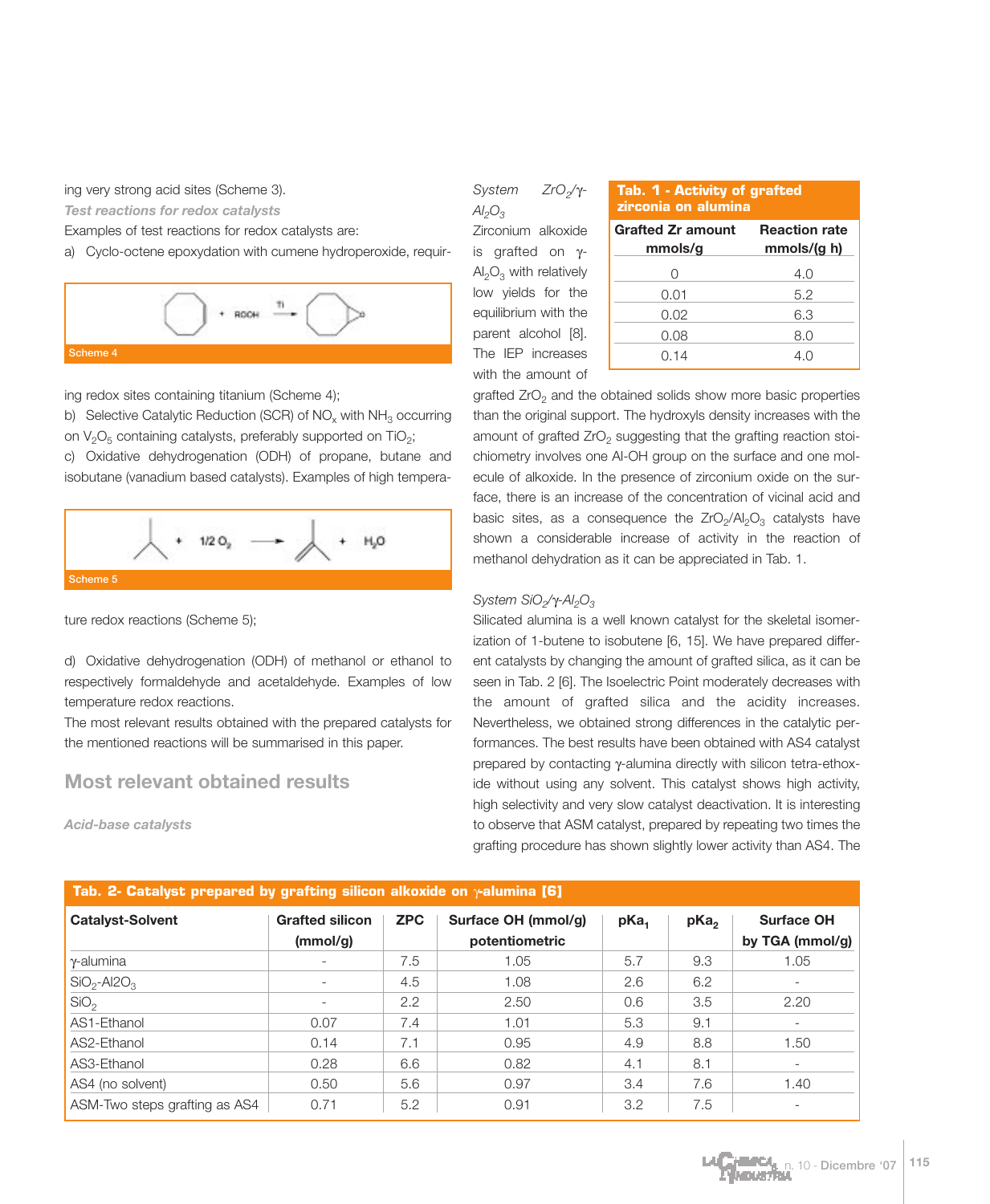ing very strong acid sites (Scheme 3).

*Test reactions for redox catalysts*

Examples of test reactions for redox catalysts are:

a) Cyclo-octene epoxydation with cumene hydroperoxide, requir-



ing redox sites containing titanium (Scheme 4);

b) Selective Catalytic Reduction (SCR) of  $NO<sub>x</sub>$  with  $NH<sub>3</sub>$  occurring on  $V_2O_5$  containing catalysts, preferably supported on TiO<sub>2</sub>;

c) Oxidative dehydrogenation (ODH) of propane, butane and isobutane (vanadium based catalysts). Examples of high tempera-



ture redox reactions (Scheme 5);

d) Oxidative dehydrogenation (ODH) of methanol or ethanol to respectively formaldehyde and acetaldehyde. Examples of low temperature redox reactions.

The most relevant results obtained with the prepared catalysts for the mentioned reactions will be summarised in this paper.

## **Most relevant obtained results**

*Acid-base catalysts*

*System ZrO2/*γ*-* $Al_2O_3$ Zirconium alkoxide is grafted on γ- $Al_2O_3$  with relatively low yields for the

| Tab. 1 - Activity of grafted |  |
|------------------------------|--|
| zirconia on alumina          |  |

| Zirconium alkoxide                      | <b>Grafted Zr amount</b> | <b>Reaction rate</b> |  |  |
|-----------------------------------------|--------------------------|----------------------|--|--|
| is grafted on $\gamma$ -                | mmols/g                  | mmols/(g h)          |  |  |
| $\text{Al}_2\text{O}_3$ with relatively |                          | 4.0                  |  |  |
| low yields for the                      | 0.01                     | 5.2                  |  |  |
| equilibrium with the                    | 0.02                     | 6.3                  |  |  |
| parent alcohol [8].                     | 0.08                     | 8.0                  |  |  |
| The IEP increases                       | 0.14                     | 4.0                  |  |  |
| with the amount of                      |                          |                      |  |  |

grafted  $ZrO<sub>2</sub>$  and the obtained solids show more basic properties than the original support. The hydroxyls density increases with the amount of grafted  $ZrO<sub>2</sub>$  suggesting that the grafting reaction stoichiometry involves one Al-OH group on the surface and one molecule of alkoxide. In the presence of zirconium oxide on the surface, there is an increase of the concentration of vicinal acid and basic sites, as a consequence the  $ZrO<sub>2</sub>/Al<sub>2</sub>O<sub>3</sub>$  catalysts have shown a considerable increase of activity in the reaction of methanol dehydration as it can be appreciated in Tab. 1.

#### *System SiO<sub>2</sub>*/γ-Al<sub>2</sub>O<sub>3</sub>

Silicated alumina is a well known catalyst for the skeletal isomerization of 1-butene to isobutene [6, 15]. We have prepared different catalysts by changing the amount of grafted silica, as it can be seen in Tab. 2 [6]. The Isoelectric Point moderately decreases with the amount of grafted silica and the acidity increases. Nevertheless, we obtained strong differences in the catalytic performances. The best results have been obtained with AS4 catalyst prepared by contacting γ-alumina directly with silicon tetra-ethoxide without using any solvent. This catalyst shows high activity, high selectivity and very slow catalyst deactivation. It is interesting to observe that ASM catalyst, prepared by repeating two times the grafting procedure has shown slightly lower activity than AS4. The

| <b>Catalyst-Solvent</b>               | <b>Grafted silicon</b><br>(mmol/g) | <b>ZPC</b> | Surface OH (mmol/g)<br>potentiometric | pKa <sub>1</sub> | pKa <sub>2</sub> | <b>Surface OH</b><br>by TGA (mmol/g) |
|---------------------------------------|------------------------------------|------------|---------------------------------------|------------------|------------------|--------------------------------------|
| <sup>1</sup> γ-alumina                | $\qquad \qquad -$                  | 7.5        | 1.05                                  | 5.7              | 9.3              | 1.05                                 |
| $\overline{SiO_2}$ -Al2O <sub>3</sub> | $\overline{\phantom{a}}$           | 4.5        | 1.08                                  | 2.6              | 6.2              |                                      |
| SiO <sub>2</sub>                      | $\overline{\phantom{a}}$           | 2.2        | 2.50                                  | 0.6              | 3.5              | 2.20                                 |
| AS1-Ethanol                           | 0.07                               | 7.4        | 1.01                                  | 5.3              | 9.1              | $\overline{\phantom{a}}$             |
| AS2-Ethanol                           | 0.14                               | 7.1        | 0.95                                  | 4.9              | 8.8              | 1.50                                 |
| AS3-Ethanol                           | 0.28                               | 6.6        | 0.82                                  | 4.1              | 8.1              | $\qquad \qquad -$                    |
| AS4 (no solvent)                      | 0.50                               | 5.6        | 0.97                                  | 3.4              | 7.6              | 1.40                                 |
| ASM-Two steps grafting as AS4         | 0.71                               | 5.2        | 0.91                                  | 3.2              | 7.5              |                                      |

#### **Tab. 2- Catalyst prepared by grafting silicon alkoxide on** γ**-alumina [6]**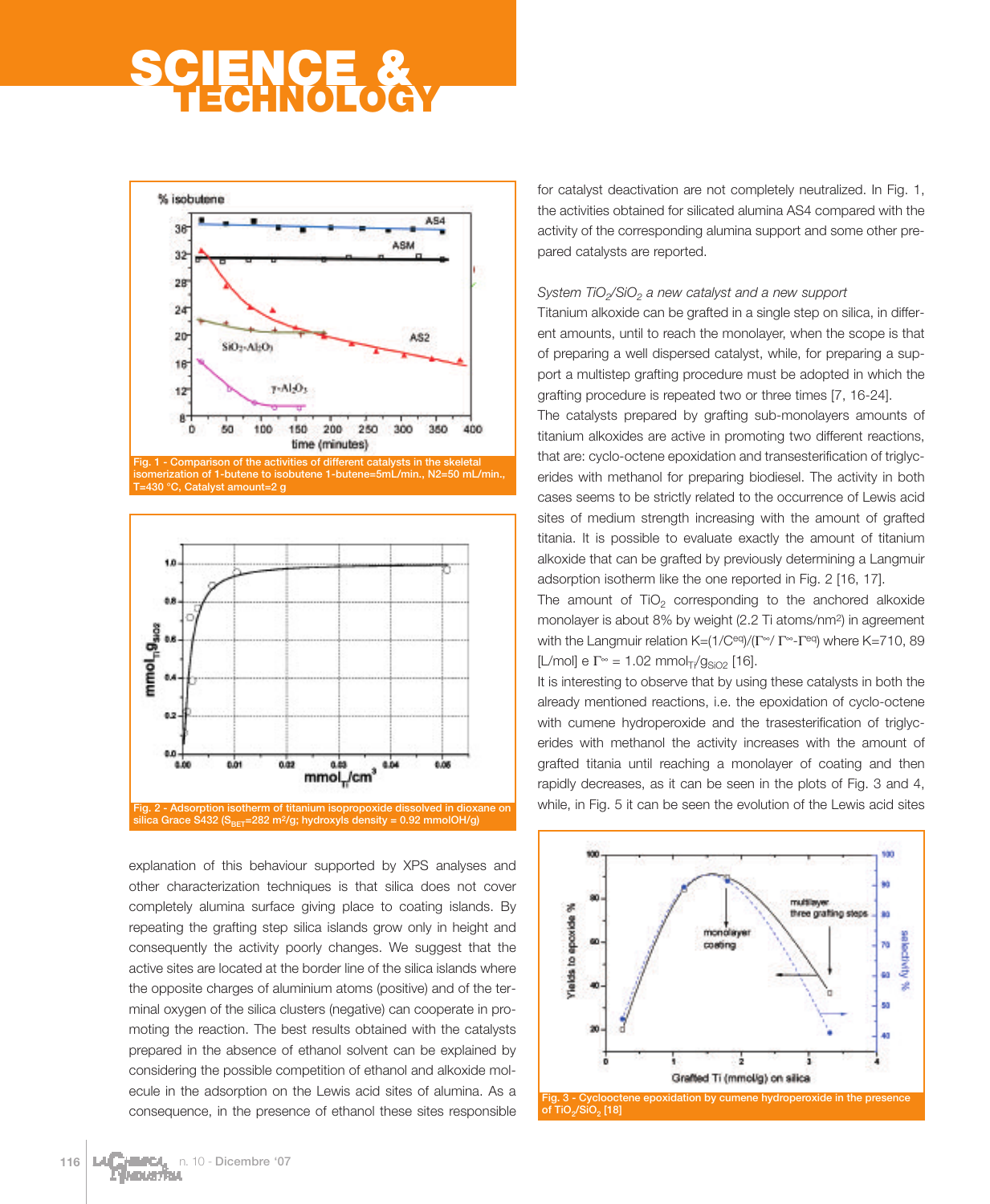

- Comparison of the act **isomerization of 1-butene to isobutene 1-butene=5mL/min., N2=50 mL/min., T=430 °C, Catalyst amount=2 g**



explanation of this behaviour supported by XPS analyses and other characterization techniques is that silica does not cover completely alumina surface giving place to coating islands. By repeating the grafting step silica islands grow only in height and consequently the activity poorly changes. We suggest that the active sites are located at the border line of the silica islands where the opposite charges of aluminium atoms (positive) and of the terminal oxygen of the silica clusters (negative) can cooperate in promoting the reaction. The best results obtained with the catalysts prepared in the absence of ethanol solvent can be explained by considering the possible competition of ethanol and alkoxide molecule in the adsorption on the Lewis acid sites of alumina. As a consequence, in the presence of ethanol these sites responsible for catalyst deactivation are not completely neutralized. In Fig. 1, the activities obtained for silicated alumina AS4 compared with the activity of the corresponding alumina support and some other prepared catalysts are reported.

#### *System TiO<sub>2</sub>/SiO<sub>2</sub> a new catalyst and a new support*

Titanium alkoxide can be grafted in a single step on silica, in different amounts, until to reach the monolayer, when the scope is that of preparing a well dispersed catalyst, while, for preparing a support a multistep grafting procedure must be adopted in which the grafting procedure is repeated two or three times [7, 16-24]. The catalysts prepared by grafting sub-monolayers amounts of

titanium alkoxides are active in promoting two different reactions, that are: cyclo-octene epoxidation and transesterification of triglycerides with methanol for preparing biodiesel. The activity in both cases seems to be strictly related to the occurrence of Lewis acid sites of medium strength increasing with the amount of grafted titania. It is possible to evaluate exactly the amount of titanium alkoxide that can be grafted by previously determining a Langmuir adsorption isotherm like the one reported in Fig. 2 [16, 17].

The amount of  $TiO<sub>2</sub>$  corresponding to the anchored alkoxide monolayer is about 8% by weight (2.2 Ti atoms/nm2) in agreement with the Langmuir relation K=(1/Ceq)/(Γ∞/ Γ∞-Γeq) where K=710, 89 [L/mol] e  $\Gamma^{\infty}$  = 1.02 mmol<sub>Ti</sub>/g<sub>SiO2</sub> [16].

It is interesting to observe that by using these catalysts in both the already mentioned reactions, i.e. the epoxidation of cyclo-octene with cumene hydroperoxide and the trasesterification of triglycerides with methanol the activity increases with the amount of grafted titania until reaching a monolayer of coating and then rapidly decreases, as it can be seen in the plots of Fig. 3 and 4, while, in Fig. 5 it can be seen the evolution of the Lewis acid sites

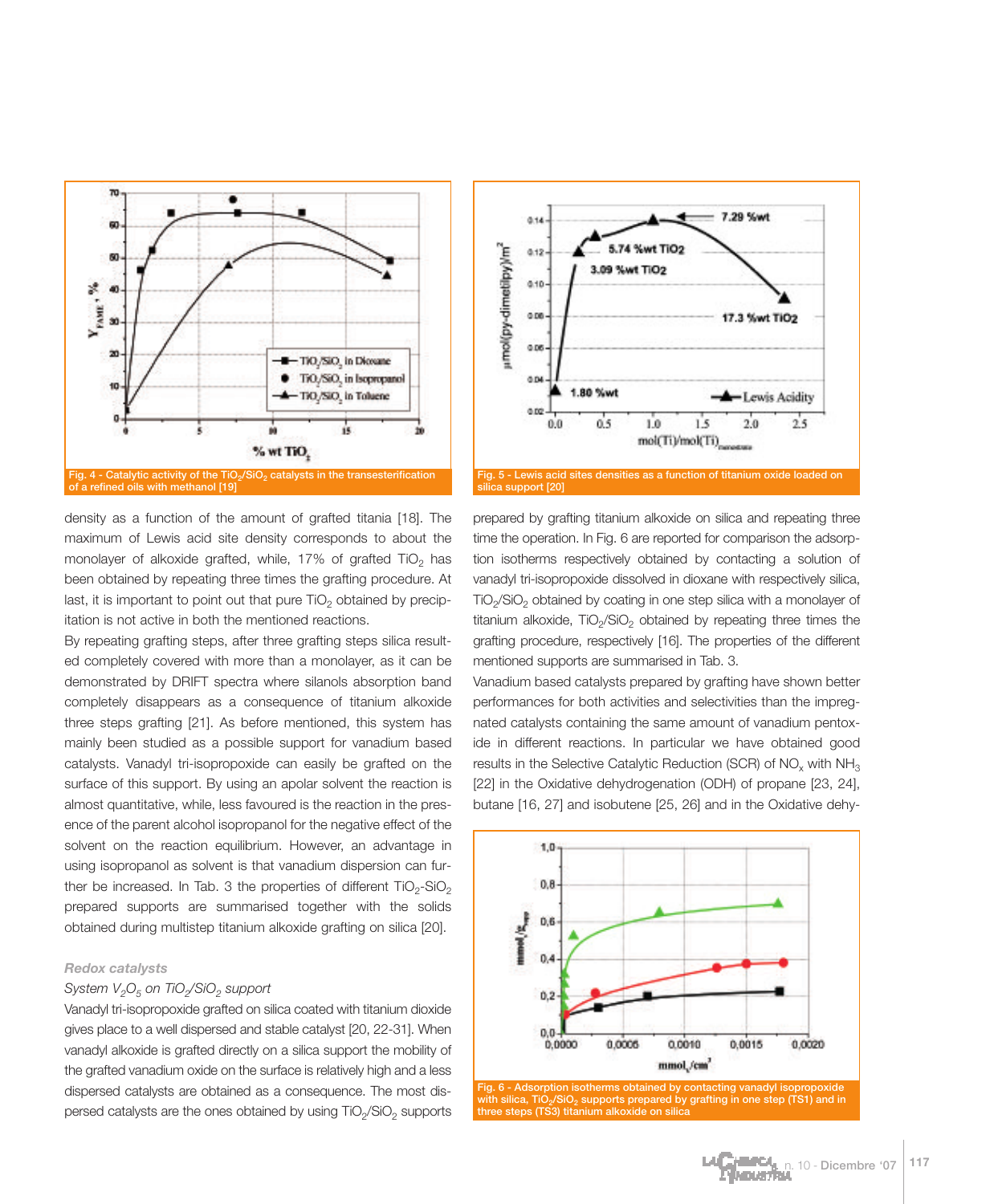



By repeating grafting steps, after three grafting steps silica resulted completely covered with more than a monolayer, as it can be demonstrated by DRIFT spectra where silanols absorption band completely disappears as a consequence of titanium alkoxide three steps grafting [21]. As before mentioned, this system has mainly been studied as a possible support for vanadium based catalysts. Vanadyl tri-isopropoxide can easily be grafted on the surface of this support. By using an apolar solvent the reaction is almost quantitative, while, less favoured is the reaction in the presence of the parent alcohol isopropanol for the negative effect of the solvent on the reaction equilibrium. However, an advantage in using isopropanol as solvent is that vanadium dispersion can further be increased. In Tab. 3 the properties of different  $TiO<sub>2</sub>-SiO<sub>2</sub>$ prepared supports are summarised together with the solids obtained during multistep titanium alkoxide grafting on silica [20].

#### *Redox catalysts*

#### *System V<sub>2</sub>O<sub>5</sub>* on TiO<sub>2</sub>/SiO<sub>2</sub> support

Vanadyl tri-isopropoxide grafted on silica coated with titanium dioxide gives place to a well dispersed and stable catalyst [20, 22-31]. When vanadyl alkoxide is grafted directly on a silica support the mobility of the grafted vanadium oxide on the surface is relatively high and a less dispersed catalysts are obtained as a consequence. The most dispersed catalysts are the ones obtained by using TiO<sub>2</sub>/SiO<sub>2</sub> supports



prepared by grafting titanium alkoxide on silica and repeating three time the operation. In Fig. 6 are reported for comparison the adsorption isotherms respectively obtained by contacting a solution of vanadyl tri-isopropoxide dissolved in dioxane with respectively silica, TiO<sub>2</sub>/SiO<sub>2</sub> obtained by coating in one step silica with a monolayer of titanium alkoxide,  $TiO<sub>2</sub>/SiO<sub>2</sub>$  obtained by repeating three times the grafting procedure, respectively [16]. The properties of the different mentioned supports are summarised in Tab. 3.

Vanadium based catalysts prepared by grafting have shown better performances for both activities and selectivities than the impregnated catalysts containing the same amount of vanadium pentoxide in different reactions. In particular we have obtained good results in the Selective Catalytic Reduction (SCR) of NO<sub>v</sub> with NH<sub>3</sub> [22] in the Oxidative dehydrogenation (ODH) of propane [23, 24], butane [16, 27] and isobutene [25, 26] and in the Oxidative dehy-



**with silica, TiO2/SiO2 supports prepared by grafting in one step (TS1) and in three steps (TS3) titanium alkoxide on silica**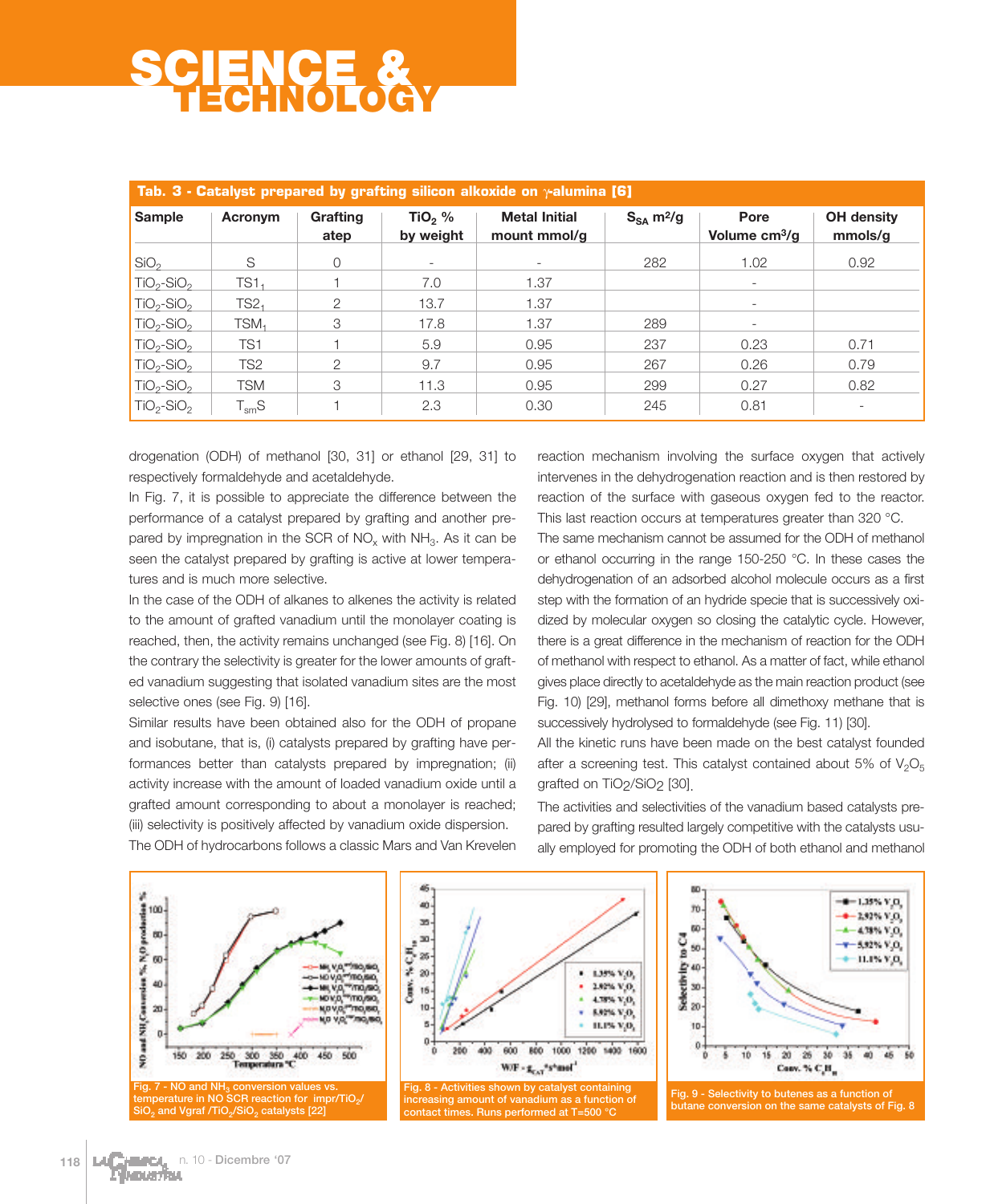| Tab. 3 - Catalyst prepared by grafting silicon alkoxide on $\gamma$ alumina [6] |                  |                         |                          |                                      |                            |                                   |                              |  |
|---------------------------------------------------------------------------------|------------------|-------------------------|--------------------------|--------------------------------------|----------------------------|-----------------------------------|------------------------------|--|
| <b>Sample</b>                                                                   | Acronym          | <b>Grafting</b><br>atep | TiO, $%$<br>by weight    | <b>Metal Initial</b><br>mount mmol/g | $S_{SA}$ m <sup>2</sup> /g | Pore<br>Volume cm <sup>3</sup> /g | <b>OH</b> density<br>mmols/g |  |
| SiO <sub>2</sub>                                                                | S                | 0                       | $\overline{\phantom{a}}$ | $\overline{\phantom{a}}$             | 282                        | 1.02                              | 0.92                         |  |
| $TiO2-SiO2$                                                                     | TS1.             |                         | 7.0                      | 1.37                                 |                            | $\qquad \qquad -$                 |                              |  |
| $TiO2-SiO2$                                                                     | TS2 <sub>1</sub> | $\mathcal{P}$           | 13.7                     | 1.37                                 |                            | $\overline{\phantom{a}}$          |                              |  |
| $TiO2-SiO2$                                                                     | $TSM_1$          | 3                       | 17.8                     | 1.37                                 | 289                        |                                   |                              |  |
| $TiO2-SiO2$                                                                     | TS <sub>1</sub>  |                         | 5.9                      | 0.95                                 | 237                        | 0.23                              | 0.71                         |  |
| $TiO2-SiO2$                                                                     | TS <sub>2</sub>  | 2                       | 9.7                      | 0.95                                 | 267                        | 0.26                              | 0.79                         |  |
| $TiO2-SiO2$                                                                     | <b>TSM</b>       | 3                       | 11.3                     | 0.95                                 | 299                        | 0.27                              | 0.82                         |  |
| $TiO2-SiO2$                                                                     | $T_{\rm sm}$ S   |                         | 2.3                      | 0.30                                 | 245                        | 0.81                              | $\overline{\phantom{a}}$     |  |

drogenation (ODH) of methanol [30, 31] or ethanol [29, 31] to respectively formaldehyde and acetaldehyde.

In Fig. 7, it is possible to appreciate the difference between the performance of a catalyst prepared by grafting and another prepared by impregnation in the SCR of  $NO<sub>x</sub>$  with  $NH<sub>3</sub>$ . As it can be seen the catalyst prepared by grafting is active at lower temperatures and is much more selective.

In the case of the ODH of alkanes to alkenes the activity is related to the amount of grafted vanadium until the monolayer coating is reached, then, the activity remains unchanged (see Fig. 8) [16]. On the contrary the selectivity is greater for the lower amounts of grafted vanadium suggesting that isolated vanadium sites are the most selective ones (see Fig. 9) [16].

Similar results have been obtained also for the ODH of propane and isobutane, that is, (i) catalysts prepared by grafting have performances better than catalysts prepared by impregnation; (ii) activity increase with the amount of loaded vanadium oxide until a grafted amount corresponding to about a monolayer is reached; (iii) selectivity is positively affected by vanadium oxide dispersion. The ODH of hydrocarbons follows a classic Mars and Van Krevelen reaction mechanism involving the surface oxygen that actively intervenes in the dehydrogenation reaction and is then restored by reaction of the surface with gaseous oxygen fed to the reactor. This last reaction occurs at temperatures greater than 320 °C.

The same mechanism cannot be assumed for the ODH of methanol or ethanol occurring in the range 150-250 °C. In these cases the dehydrogenation of an adsorbed alcohol molecule occurs as a first step with the formation of an hydride specie that is successively oxidized by molecular oxygen so closing the catalytic cycle. However, there is a great difference in the mechanism of reaction for the ODH of methanol with respect to ethanol. As a matter of fact, while ethanol gives place directly to acetaldehyde as the main reaction product (see Fig. 10) [29], methanol forms before all dimethoxy methane that is successively hydrolysed to formaldehyde (see Fig. 11) [30].

All the kinetic runs have been made on the best catalyst founded after a screening test. This catalyst contained about 5% of  $V_2O_5$ grafted on TiO2/SiO2 [30].

The activities and selectivities of the vanadium based catalysts prepared by grafting resulted largely competitive with the catalysts usually employed for promoting the ODH of both ethanol and methanol